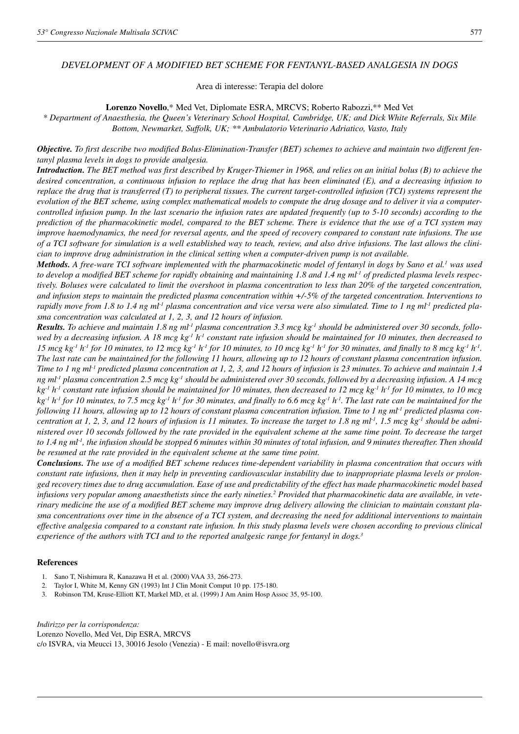# *DEVELOPMENT OF A MODIFIED BET SCHEME FOR FENTANYL-BASED ANALGESIA IN DOGS*

Area di interesse: Terapia del dolore

**Lorenzo Novello**,\* Med Vet, Diplomate ESRA, MRCVS; Roberto Rabozzi,\*\* Med Vet

*\* Department of Anaesthesia, the Queen's Veterinary School Hospital, Cambridge, UK; and Dick White Referrals, Six Mile Bottom, Newmarket, Suffolk, UK; \*\* Ambulatorio Veterinario Adriatico, Vasto, Italy*

*Objective. To first describe two modified Bolus-Elimination-Transfer (BET) schemes to achieve and maintain two different fentanyl plasma levels in dogs to provide analgesia.*

*Introduction. The BET method was first described by Kruger-Thiemer in 1968, and relies on an initial bolus (B) to achieve the desired concentration, a continuous infusion to replace the drug that has been eliminated (E), and a decreasing infusion to replace the drug that is transferred (T) to peripheral tissues. The current target-controlled infusion (TCI) systems represent the evolution of the BET scheme, using complex mathematical models to compute the drug dosage and to deliver it via a computercontrolled infusion pump. In the last scenario the infusion rates are updated frequently (up to 5-10 seconds) according to the prediction of the pharmacokinetic model, compared to the BET scheme. There is evidence that the use of a TCI system may improve haemodynamics, the need for reversal agents, and the speed of recovery compared to constant rate infusions. The use of a TCI software for simulation is a well established way to teach, review, and also drive infusions. The last allows the clinician to improve drug administration in the clinical setting when a computer-driven pump is not available.*

*Methods. A free-ware TCI software implemented with the pharmacokinetic model of fentanyl in dogs by Sano et al.1 was used to develop a modified BET scheme for rapidly obtaining and maintaining 1.8 and 1.4 ng ml-1 of predicted plasma levels respectively. Boluses were calculated to limit the overshoot in plasma concentration to less than 20% of the targeted concentration, and infusion steps to maintain the predicted plasma concentration within +/-5% of the targeted concentration. Interventions to rapidly move from 1.8 to 1.4 ng ml-1 plasma concentration and vice versa were also simulated. Time to 1 ng ml-1 predicted plasma concentration was calculated at 1, 2, 3, and 12 hours of infusion.*

*Results. To achieve and maintain 1.8 ng ml-1 plasma concentration 3.3 mcg kg-1 should be administered over 30 seconds, followed by a decreasing infusion. A 18 mcg kg-1 h-1 constant rate infusion should be maintained for 10 minutes, then decreased to 15 mcg kg<sup>-1</sup> <i>h*<sup>-1</sup> *for 10 minutes, to 12 mcg kg<sup>-1</sup> <i>h*<sup>-1</sup> *for 10 minutes, to 10 mcg kg<sup>-1</sup> <i>h*<sup>-1</sup> *for 30 minutes, and finally to 8 mcg kg<sup>-1</sup> <i>h*<sup>-1</sup>. *The last rate can be maintained for the following 11 hours, allowing up to 12 hours of constant plasma concentration infusion. Time to 1 ng ml-1 predicted plasma concentration at 1, 2, 3, and 12 hours of infusion is 23 minutes. To achieve and maintain 1.4 ng ml-1 plasma concentration 2.5 mcg kg-1 should be administered over 30 seconds, followed by a decreasing infusion. A 14 mcg kg-1 h-1 constant rate infusion should be maintained for 10 minutes, then decreased to 12 mcg kg-1 h-1 for 10 minutes, to 10 mcg kg-1 h-1 for 10 minutes, to 7.5 mcg kg-1 h-1 for 30 minutes, and finally to 6.6 mcg kg-1 h-1. The last rate can be maintained for the following 11 hours, allowing up to 12 hours of constant plasma concentration infusion. Time to 1 ng ml-1 predicted plasma concentration at 1, 2, 3, and 12 hours of infusion is 11 minutes. To increase the target to 1.8 ng ml-1, 1.5 mcg kg-1 should be administered over 10 seconds followed by the rate provided in the equivalent scheme at the same time point. To decrease the target to 1.4 ng ml-1, the infusion should be stopped 6 minutes within 30 minutes of total infusion, and 9 minutes thereafter. Then should be resumed at the rate provided in the equivalent scheme at the same time point.*

*Conclusions. The use of a modified BET scheme reduces time-dependent variability in plasma concentration that occurs with constant rate infusions, then it may help in preventing cardiovascular instability due to inappropriate plasma levels or prolonged recovery times due to drug accumulation. Ease of use and predictability of the effect has made pharmacokinetic model based infusions very popular among anaesthetists since the early nineties.2 Provided that pharmacokinetic data are available, in veterinary medicine the use of a modified BET scheme may improve drug delivery allowing the clinician to maintain constant plasma concentrations over time in the absence of a TCI system, and decreasing the need for additional interventions to maintain effective analgesia compared to a constant rate infusion. In this study plasma levels were chosen according to previous clinical experience of the authors with TCI and to the reported analgesic range for fentanyl in dogs.3*

#### **References**

- 1. Sano T, Nishimura R, Kanazawa H et al. (2000) VAA 33, 266-273.
- 2. Taylor I, White M, Kenny GN (1993) Int J Clin Monit Comput 10 pp. 175-180.
- 3. Robinson TM, Kruse-Elliott KT, Markel MD, et al. (1999) J Am Anim Hosp Assoc 35, 95-100.

*Indirizzo per la corrispondenza:* Lorenzo Novello, Med Vet, Dip ESRA, MRCVS c/o ISVRA, via Meucci 13, 30016 Jesolo (Venezia) - E mail: novello@isvra.org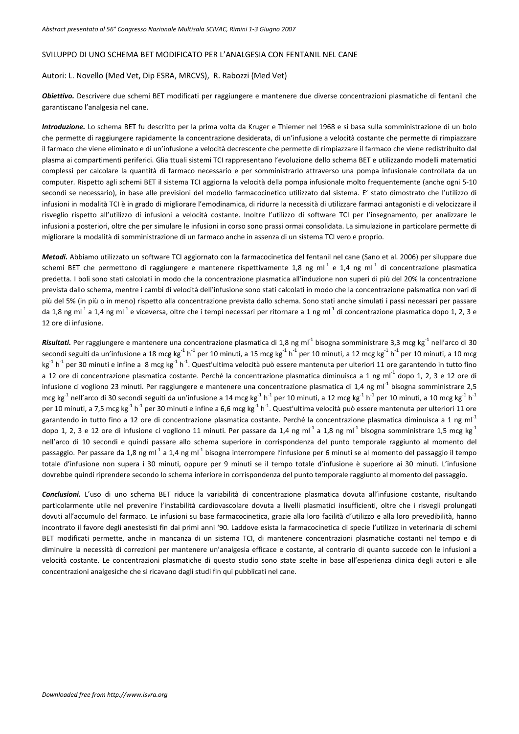## SVILUPPO DI UNO SCHEMA BET MODIFICATO PER L'ANALGESIA CON FENTANIL NEL CANE

### Autori: L. Novello (Med Vet, Dip ESRA, MRCVS), R. Rabozzi (Med Vet)

*Obiettivo.* Descrivere due schemi BET modificati per raggiungere e mantenere due diverse concentrazioni plasmatiche di fentanil che garantiscano l'analgesia nel cane.

*Introduzione.* Lo schema BET fu descritto per la prima volta da Kruger e Thiemer nel 1968 e si basa sulla somministrazione di un bolo che permette di raggiungere rapidamente la concentrazione desiderata, di un'infusione a velocità costante che permette di rimpiazzare il farmaco che viene eliminato e di un'infusione a velocità decrescente che permette di rimpiazzare il farmaco che viene redistribuito dal plasma ai compartimenti periferici. Glia ttuali sistemi TCI rappresentano l'evoluzione dello schema BET e utilizzando modelli matematici complessi per calcolare la quantità di farmaco necessario e per somministrarlo attraverso una pompa infusionale controllata da un computer. Rispetto agli schemi BET il sistema TCI aggiorna la velocità della pompa infusionale molto frequentemente (anche ogni 5‐10 secondi se necessario), in base alle previsioni del modello farmacocinetico utilizzato dal sistema. E' stato dimostrato che l'utilizzo di infusioni in modalità TCI è in grado di migliorare l'emodinamica, di ridurre la necessità di utilizzare farmaci antagonisti e di velocizzare il risveglio rispetto all'utilizzo di infusioni a velocità costante. Inoltre l'utilizzo di software TCI per l'insegnamento, per analizzare le infusioni a posteriori, oltre che per simulare le infusioni in corso sono prassi ormai consolidata. La simulazione in particolare permette di migliorare la modalità di somministrazione di un farmaco anche in assenza di un sistema TCI vero e proprio.

*Metodi.* Abbiamo utilizzato un software TCI aggiornato con la farmacocinetica del fentanil nel cane (Sano et al. 2006) per siluppare due schemi BET che permettono di raggiungere e mantenere rispettivamente 1,8 ng ml<sup>-1</sup> e 1,4 ng ml<sup>-1</sup> di concentrazione plasmatica predetta. I boli sono stati calcolati in modo che la concentrazione plasmatica all'induzione non superi di più del 20% la concentrazione prevista dallo schema, mentre i cambi di velocità dell'infusione sono stati calcolati in modo che la concentrazione palsmatica non vari di più del 5% (in più o in meno) rispetto alla concentrazione prevista dallo schema. Sono stati anche simulati i passi necessari per passare da 1,8 ng ml<sup>-1</sup> a 1,4 ng ml<sup>-1</sup> e viceversa, oltre che i tempi necessari per ritornare a 1 ng ml<sup>-1</sup> di concentrazione plasmatica dopo 1, 2, 3 e 12 ore di infusione.

**Risultati.** Per raggiungere e mantenere una concentrazione plasmatica di 1,8 ng ml<sup>-1</sup> bisogna somministrare 3,3 mcg kg<sup>-1</sup> nell'arco di 30 secondi seguiti da un'infusione a 18 mcg kg $^{-1}$  h $^{-1}$  per 10 minuti, a 15 mcg kg $^{-1}$  h $^{-1}$  per 10 minuti, a 10 mcg kg $^{-1}$  h $^{-1}$  per 10 minuti, a 10 mcg kg<sup>-1</sup> h<sup>-1</sup> per 30 minuti e infine a 8 mcg kg<sup>-1</sup> h<sup>-1</sup>. Quest'ultima velocità può essere mantenuta per ulteriori 11 ore garantendo in tutto fino a 12 ore di concentrazione plasmatica costante. Perché la concentrazione plasmatica diminuisca a 1 ng ml<sup>-1</sup> dopo 1, 2, 3 e 12 ore di infusione ci vogliono 23 minuti. Per raggiungere e mantenere una concentrazione plasmatica di 1,4 ng ml<sup>-1</sup> bisogna somministrare 2,5 mcg kg<sup>-1</sup> nell'arco di 30 secondi seguiti da un'infusione a 14 mcg kg<sup>-1</sup> h<sup>-1</sup> per 10 minuti, a 12 mcg kg<sup>-1</sup> h<sup>-1</sup> per 10 minuti, a 10 mcg kg<sup>-1</sup> h<sup>-1</sup> per 10 minuti, a 7,5 mcg kg $^{-1}$  h $^{-1}$  per 30 minuti e infine a 6,6 mcg kg $^{-1}$  h $^{-1}$ . Quest'ultima velocità può essere mantenuta per ulteriori 11 ore garantendo in tutto fino a 12 ore di concentrazione plasmatica costante. Perché la concentrazione plasmatica diminuisca a 1 ng ml<sup>-1</sup> dopo 1, 2, 3 e 12 ore di infusione ci vogliono 11 minuti. Per passare da 1,4 ng ml<sup>-1</sup> a 1,8 ng ml<sup>-1</sup> bisogna somministrare 1,5 mcg kg<sup>-1</sup> nell'arco di 10 secondi e quindi passare allo schema superiore in corrispondenza del punto temporale raggiunto al momento del passaggio. Per passare da 1,8 ng ml<sup>-1</sup> a 1,4 ng ml<sup>-1</sup> bisogna interrompere l'infusione per 6 minuti se al momento del passaggio il tempo totale d'infusione non supera i 30 minuti, oppure per 9 minuti se il tempo totale d'infusione è superiore ai 30 minuti. L'infusione dovrebbe quindi riprendere secondo lo schema inferiore in corrispondenza del punto temporale raggiunto al momento del passaggio.

*Conclusioni.* L'uso di uno schema BET riduce la variabilità di concentrazione plasmatica dovuta all'infusione costante, risultando particolarmente utile nel prevenire l'instabilità cardiovascolare dovuta a livelli plasmatici insufficienti, oltre che i risvegli prolungati dovuti all'accumulo del farmaco. Le infusioni su base farmacocinetica, grazie alla loro facilità d'utilizzo e alla loro prevedibilità, hanno incontrato il favore degli anestesisti fin dai primi anni '90. Laddove esista la farmacocinetica di specie l'utilizzo in veterinaria di schemi BET modificati permette, anche in mancanza di un sistema TCI, di mantenere concentrazioni plasmatiche costanti nel tempo e di diminuire la necessità di correzioni per mantenere un'analgesia efficace e costante, al contrario di quanto succede con le infusioni a velocità costante. Le concentrazioni plasmatiche di questo studio sono state scelte in base all'esperienza clinica degli autori e alle concentrazioni analgesiche che si ricavano dagli studi fin qui pubblicati nel cane.